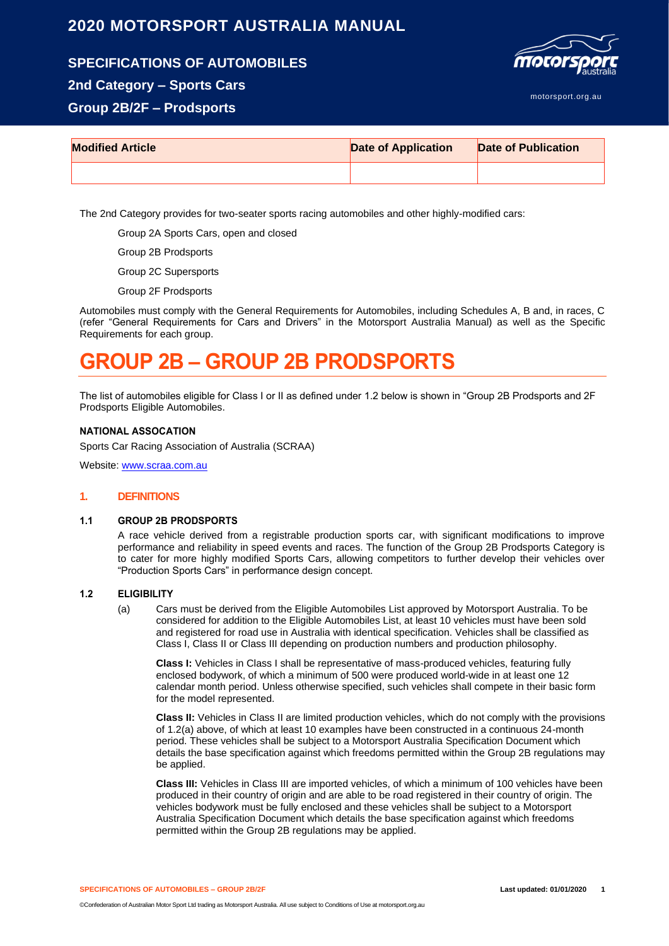## **2020 MOTORSPORT AUSTRALIA MANUAL**

**SPECIFICATIONS OF AUTOMOBILES**





motorsport.org.au

## **Group 2B/2F – Prodsports**

| <b>Modified Article</b> | <b>Date of Application</b> | Date of Publication |
|-------------------------|----------------------------|---------------------|
|                         |                            |                     |

The 2nd Category provides for two-seater sports racing automobiles and other highly-modified cars:

Group 2A Sports Cars, open and closed

Group 2B Prodsports

Group 2C Supersports

Group 2F Prodsports

Automobiles must comply with the General Requirements for Automobiles, including Schedules A, B and, in races, C (refer "General Requirements for Cars and Drivers" in the Motorsport Australia Manual) as well as the Specific Requirements for each group.

# **GROUP 2B – GROUP 2B PRODSPORTS**

The list of automobiles eligible for Class I or II as defined under 1.2 below is shown in "Group 2B Prodsports and 2F Prodsports Eligible Automobiles.

## **NATIONAL ASSOCATION**

Sports Car Racing Association of Australia (SCRAA)

Website[: www.scraa.com.au](http://www.scraa.com.au/)

## **1. DEFINITIONS**

## **1.1 GROUP 2B PRODSPORTS**

A race vehicle derived from a registrable production sports car, with significant modifications to improve performance and reliability in speed events and races. The function of the Group 2B Prodsports Category is to cater for more highly modified Sports Cars, allowing competitors to further develop their vehicles over "Production Sports Cars" in performance design concept.

## **1.2 ELIGIBILITY**

(a) Cars must be derived from the Eligible Automobiles List approved by Motorsport Australia. To be considered for addition to the Eligible Automobiles List, at least 10 vehicles must have been sold and registered for road use in Australia with identical specification. Vehicles shall be classified as Class I, Class II or Class III depending on production numbers and production philosophy.

**Class I:** Vehicles in Class I shall be representative of mass-produced vehicles, featuring fully enclosed bodywork, of which a minimum of 500 were produced world-wide in at least one 12 calendar month period. Unless otherwise specified, such vehicles shall compete in their basic form for the model represented.

**Class II:** Vehicles in Class II are limited production vehicles, which do not comply with the provisions of 1.2(a) above, of which at least 10 examples have been constructed in a continuous 24-month period. These vehicles shall be subject to a Motorsport Australia Specification Document which details the base specification against which freedoms permitted within the Group 2B regulations may be applied.

**Class III:** Vehicles in Class III are imported vehicles, of which a minimum of 100 vehicles have been produced in their country of origin and are able to be road registered in their country of origin. The vehicles bodywork must be fully enclosed and these vehicles shall be subject to a Motorsport Australia Specification Document which details the base specification against which freedoms permitted within the Group 2B regulations may be applied.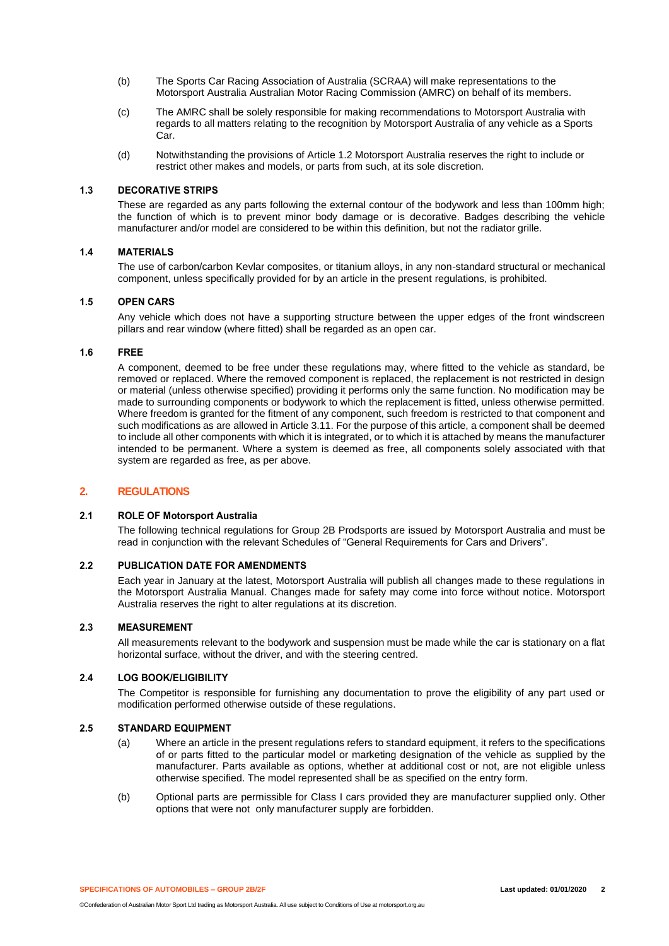- (b) The Sports Car Racing Association of Australia (SCRAA) will make representations to the Motorsport Australia Australian Motor Racing Commission (AMRC) on behalf of its members.
- (c) The AMRC shall be solely responsible for making recommendations to Motorsport Australia with regards to all matters relating to the recognition by Motorsport Australia of any vehicle as a Sports Car.
- (d) Notwithstanding the provisions of Article 1.2 Motorsport Australia reserves the right to include or restrict other makes and models, or parts from such, at its sole discretion.

## **1.3 DECORATIVE STRIPS**

These are regarded as any parts following the external contour of the bodywork and less than 100mm high; the function of which is to prevent minor body damage or is decorative. Badges describing the vehicle manufacturer and/or model are considered to be within this definition, but not the radiator grille.

## **1.4 MATERIALS**

The use of carbon/carbon Kevlar composites, or titanium alloys, in any non-standard structural or mechanical component, unless specifically provided for by an article in the present regulations, is prohibited.

## **1.5 OPEN CARS**

Any vehicle which does not have a supporting structure between the upper edges of the front windscreen pillars and rear window (where fitted) shall be regarded as an open car.

## **1.6 FREE**

A component, deemed to be free under these regulations may, where fitted to the vehicle as standard, be removed or replaced. Where the removed component is replaced, the replacement is not restricted in design or material (unless otherwise specified) providing it performs only the same function. No modification may be made to surrounding components or bodywork to which the replacement is fitted, unless otherwise permitted. Where freedom is granted for the fitment of any component, such freedom is restricted to that component and such modifications as are allowed in Article 3.11. For the purpose of this article, a component shall be deemed to include all other components with which it is integrated, or to which it is attached by means the manufacturer intended to be permanent. Where a system is deemed as free, all components solely associated with that system are regarded as free, as per above.

## **2. REGULATIONS**

## **2.1 ROLE OF Motorsport Australia**

The following technical regulations for Group 2B Prodsports are issued by Motorsport Australia and must be read in conjunction with the relevant Schedules of "General Requirements for Cars and Drivers".

## **2.2 PUBLICATION DATE FOR AMENDMENTS**

Each year in January at the latest, Motorsport Australia will publish all changes made to these regulations in the Motorsport Australia Manual. Changes made for safety may come into force without notice. Motorsport Australia reserves the right to alter regulations at its discretion.

## **2.3 MEASUREMENT**

All measurements relevant to the bodywork and suspension must be made while the car is stationary on a flat horizontal surface, without the driver, and with the steering centred.

## **2.4 LOG BOOK/ELIGIBILITY**

The Competitor is responsible for furnishing any documentation to prove the eligibility of any part used or modification performed otherwise outside of these regulations.

## **2.5 STANDARD EQUIPMENT**

- (a) Where an article in the present regulations refers to standard equipment, it refers to the specifications of or parts fitted to the particular model or marketing designation of the vehicle as supplied by the manufacturer. Parts available as options, whether at additional cost or not, are not eligible unless otherwise specified. The model represented shall be as specified on the entry form.
- (b) Optional parts are permissible for Class I cars provided they are manufacturer supplied only. Other options that were not only manufacturer supply are forbidden.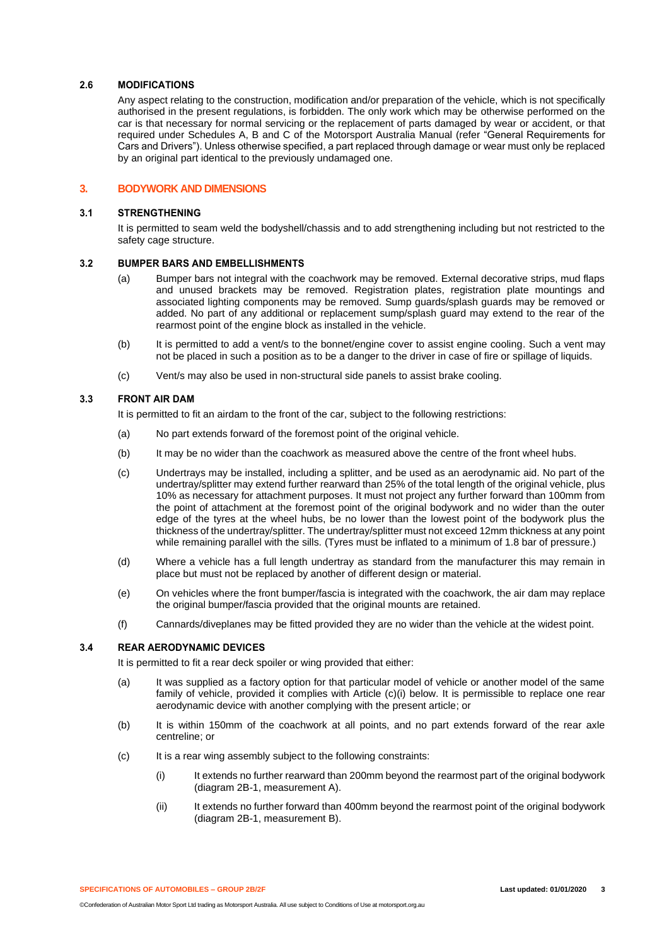## **2.6 MODIFICATIONS**

Any aspect relating to the construction, modification and/or preparation of the vehicle, which is not specifically authorised in the present regulations, is forbidden. The only work which may be otherwise performed on the car is that necessary for normal servicing or the replacement of parts damaged by wear or accident, or that required under Schedules A, B and C of the Motorsport Australia Manual (refer "General Requirements for Cars and Drivers"). Unless otherwise specified, a part replaced through damage or wear must only be replaced by an original part identical to the previously undamaged one.

## **3. BODYWORK AND DIMENSIONS**

#### **3.1 STRENGTHENING**

It is permitted to seam weld the bodyshell/chassis and to add strengthening including but not restricted to the safety cage structure.

## **3.2 BUMPER BARS AND EMBELLISHMENTS**

- (a) Bumper bars not integral with the coachwork may be removed. External decorative strips, mud flaps and unused brackets may be removed. Registration plates, registration plate mountings and associated lighting components may be removed. Sump guards/splash guards may be removed or added. No part of any additional or replacement sump/splash guard may extend to the rear of the rearmost point of the engine block as installed in the vehicle.
- (b) It is permitted to add a vent/s to the bonnet/engine cover to assist engine cooling. Such a vent may not be placed in such a position as to be a danger to the driver in case of fire or spillage of liquids.
- (c) Vent/s may also be used in non-structural side panels to assist brake cooling.

## **3.3 FRONT AIR DAM**

It is permitted to fit an airdam to the front of the car, subject to the following restrictions:

- (a) No part extends forward of the foremost point of the original vehicle.
- (b) It may be no wider than the coachwork as measured above the centre of the front wheel hubs.
- (c) Undertrays may be installed, including a splitter, and be used as an aerodynamic aid. No part of the undertray/splitter may extend further rearward than 25% of the total length of the original vehicle, plus 10% as necessary for attachment purposes. It must not project any further forward than 100mm from the point of attachment at the foremost point of the original bodywork and no wider than the outer edge of the tyres at the wheel hubs, be no lower than the lowest point of the bodywork plus the thickness of the undertray/splitter. The undertray/splitter must not exceed 12mm thickness at any point while remaining parallel with the sills. (Tyres must be inflated to a minimum of 1.8 bar of pressure.)
- (d) Where a vehicle has a full length undertray as standard from the manufacturer this may remain in place but must not be replaced by another of different design or material.
- (e) On vehicles where the front bumper/fascia is integrated with the coachwork, the air dam may replace the original bumper/fascia provided that the original mounts are retained.
- (f) Cannards/diveplanes may be fitted provided they are no wider than the vehicle at the widest point.

## **3.4 REAR AERODYNAMIC DEVICES**

It is permitted to fit a rear deck spoiler or wing provided that either:

- (a) It was supplied as a factory option for that particular model of vehicle or another model of the same family of vehicle, provided it complies with Article (c)(i) below. It is permissible to replace one rear aerodynamic device with another complying with the present article; or
- (b) It is within 150mm of the coachwork at all points, and no part extends forward of the rear axle centreline; or
- (c) It is a rear wing assembly subject to the following constraints:
	- (i) It extends no further rearward than 200mm beyond the rearmost part of the original bodywork (diagram 2B-1, measurement A).
	- (ii) It extends no further forward than 400mm beyond the rearmost point of the original bodywork (diagram 2B-1, measurement B).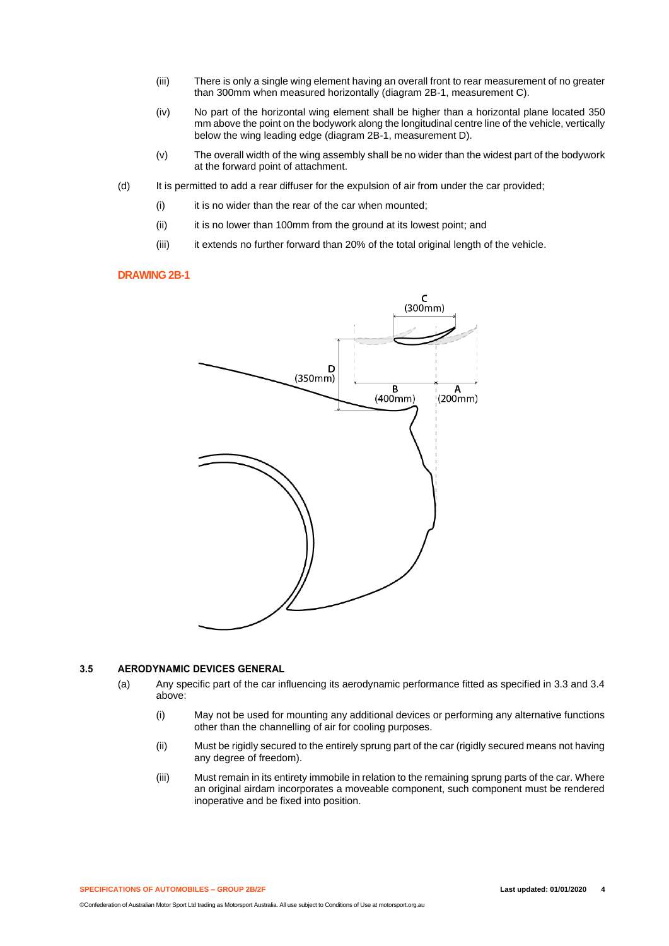- (iii) There is only a single wing element having an overall front to rear measurement of no greater than 300mm when measured horizontally (diagram 2B-1, measurement C).
- (iv) No part of the horizontal wing element shall be higher than a horizontal plane located 350 mm above the point on the bodywork along the longitudinal centre line of the vehicle, vertically below the wing leading edge (diagram 2B-1, measurement D).
- (v) The overall width of the wing assembly shall be no wider than the widest part of the bodywork at the forward point of attachment.
- (d) It is permitted to add a rear diffuser for the expulsion of air from under the car provided;
	- (i) it is no wider than the rear of the car when mounted;
	- (ii) it is no lower than 100mm from the ground at its lowest point; and
	- (iii) it extends no further forward than 20% of the total original length of the vehicle.

## **DRAWING 2B-1**



#### **3.5 AERODYNAMIC DEVICES GENERAL**

- (a) Any specific part of the car influencing its aerodynamic performance fitted as specified in 3.3 and 3.4 above:
	- (i) May not be used for mounting any additional devices or performing any alternative functions other than the channelling of air for cooling purposes.
	- (ii) Must be rigidly secured to the entirely sprung part of the car (rigidly secured means not having any degree of freedom).
	- (iii) Must remain in its entirety immobile in relation to the remaining sprung parts of the car. Where an original airdam incorporates a moveable component, such component must be rendered inoperative and be fixed into position.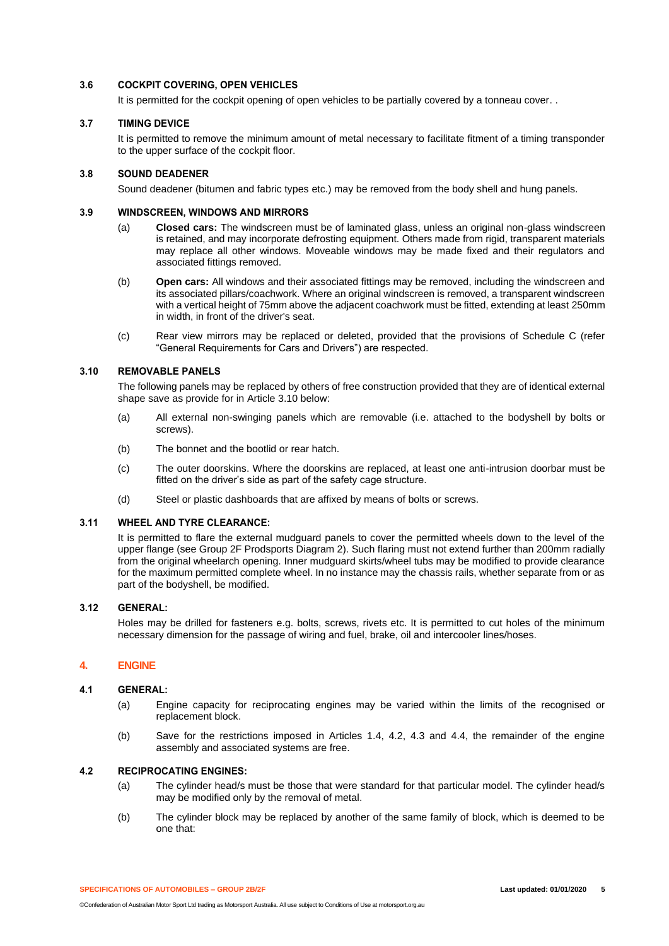## **3.6 COCKPIT COVERING, OPEN VEHICLES**

It is permitted for the cockpit opening of open vehicles to be partially covered by a tonneau cover. .

## **3.7 TIMING DEVICE**

It is permitted to remove the minimum amount of metal necessary to facilitate fitment of a timing transponder to the upper surface of the cockpit floor.

#### **3.8 SOUND DEADENER**

Sound deadener (bitumen and fabric types etc.) may be removed from the body shell and hung panels.

#### **3.9 WINDSCREEN, WINDOWS AND MIRRORS**

- (a) **Closed cars:** The windscreen must be of laminated glass, unless an original non-glass windscreen is retained, and may incorporate defrosting equipment. Others made from rigid, transparent materials may replace all other windows. Moveable windows may be made fixed and their regulators and associated fittings removed.
- (b) **Open cars:** All windows and their associated fittings may be removed, including the windscreen and its associated pillars/coachwork. Where an original windscreen is removed, a transparent windscreen with a vertical height of 75mm above the adjacent coachwork must be fitted, extending at least 250mm in width, in front of the driver's seat.
- (c) Rear view mirrors may be replaced or deleted, provided that the provisions of Schedule C (refer "General Requirements for Cars and Drivers") are respected.

#### **3.10 REMOVABLE PANELS**

The following panels may be replaced by others of free construction provided that they are of identical external shape save as provide for in Article 3.10 below:

- (a) All external non-swinging panels which are removable (i.e. attached to the bodyshell by bolts or screws).
- (b) The bonnet and the bootlid or rear hatch.
- (c) The outer doorskins. Where the doorskins are replaced, at least one anti-intrusion doorbar must be fitted on the driver's side as part of the safety cage structure.
- (d) Steel or plastic dashboards that are affixed by means of bolts or screws.

## **3.11 WHEEL AND TYRE CLEARANCE:**

It is permitted to flare the external mudguard panels to cover the permitted wheels down to the level of the upper flange (see Group 2F Prodsports Diagram 2). Such flaring must not extend further than 200mm radially from the original wheelarch opening. Inner mudguard skirts/wheel tubs may be modified to provide clearance for the maximum permitted complete wheel. In no instance may the chassis rails, whether separate from or as part of the bodyshell, be modified.

## **3.12 GENERAL:**

Holes may be drilled for fasteners e.g. bolts, screws, rivets etc. It is permitted to cut holes of the minimum necessary dimension for the passage of wiring and fuel, brake, oil and intercooler lines/hoses.

## **4. ENGINE**

#### **4.1 GENERAL:**

- (a) Engine capacity for reciprocating engines may be varied within the limits of the recognised or replacement block.
- (b) Save for the restrictions imposed in Articles 1.4, 4.2, 4.3 and 4.4, the remainder of the engine assembly and associated systems are free.

## **4.2 RECIPROCATING ENGINES:**

- (a) The cylinder head/s must be those that were standard for that particular model. The cylinder head/s may be modified only by the removal of metal.
- (b) The cylinder block may be replaced by another of the same family of block, which is deemed to be one that: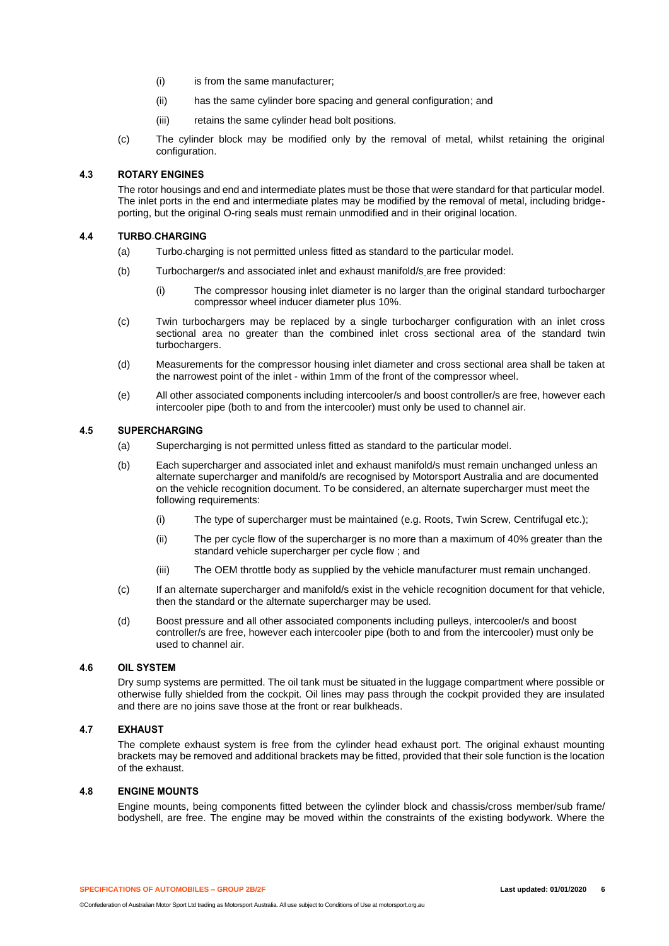- (i) is from the same manufacturer;
- (ii) has the same cylinder bore spacing and general configuration; and
- (iii) retains the same cylinder head bolt positions.
- (c) The cylinder block may be modified only by the removal of metal, whilst retaining the original configuration.

## **4.3 ROTARY ENGINES**

The rotor housings and end and intermediate plates must be those that were standard for that particular model. The inlet ports in the end and intermediate plates may be modified by the removal of metal, including bridgeporting, but the original O-ring seals must remain unmodified and in their original location.

## **4.4 TURBO CHARGING**

- (a) Turbo charging is not permitted unless fitted as standard to the particular model.
- (b) Turbocharger/s and associated inlet and exhaust manifold/s are free provided:
	- (i) The compressor housing inlet diameter is no larger than the original standard turbocharger compressor wheel inducer diameter plus 10%.
- (c) Twin turbochargers may be replaced by a single turbocharger configuration with an inlet cross sectional area no greater than the combined inlet cross sectional area of the standard twin turbochargers.
- (d) Measurements for the compressor housing inlet diameter and cross sectional area shall be taken at the narrowest point of the inlet - within 1mm of the front of the compressor wheel.
- (e) All other associated components including intercooler/s and boost controller/s are free, however each intercooler pipe (both to and from the intercooler) must only be used to channel air.

## **4.5 SUPERCHARGING**

- (a) Supercharging is not permitted unless fitted as standard to the particular model.
- (b) Each supercharger and associated inlet and exhaust manifold/s must remain unchanged unless an alternate supercharger and manifold/s are recognised by Motorsport Australia and are documented on the vehicle recognition document. To be considered, an alternate supercharger must meet the following requirements:
	- (i) The type of supercharger must be maintained (e.g. Roots, Twin Screw, Centrifugal etc.);
	- (ii) The per cycle flow of the supercharger is no more than a maximum of 40% greater than the standard vehicle supercharger per cycle flow ; and
	- (iii) The OEM throttle body as supplied by the vehicle manufacturer must remain unchanged.
- (c) If an alternate supercharger and manifold/s exist in the vehicle recognition document for that vehicle, then the standard or the alternate supercharger may be used.
- (d) Boost pressure and all other associated components including pulleys, intercooler/s and boost controller/s are free, however each intercooler pipe (both to and from the intercooler) must only be used to channel air.

## **4.6 OIL SYSTEM**

Dry sump systems are permitted. The oil tank must be situated in the luggage compartment where possible or otherwise fully shielded from the cockpit. Oil lines may pass through the cockpit provided they are insulated and there are no joins save those at the front or rear bulkheads.

## **4.7 EXHAUST**

The complete exhaust system is free from the cylinder head exhaust port. The original exhaust mounting brackets may be removed and additional brackets may be fitted, provided that their sole function is the location of the exhaust.

## **4.8 ENGINE MOUNTS**

Engine mounts, being components fitted between the cylinder block and chassis/cross member/sub frame/ bodyshell, are free. The engine may be moved within the constraints of the existing bodywork. Where the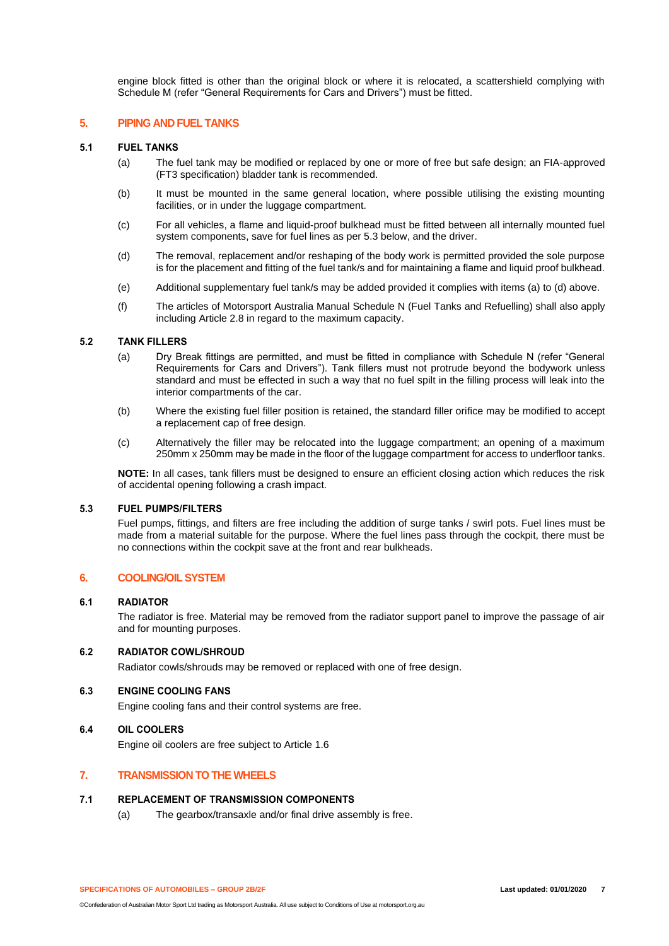engine block fitted is other than the original block or where it is relocated, a scattershield complying with Schedule M (refer "General Requirements for Cars and Drivers") must be fitted.

#### **5. PIPING AND FUEL TANKS**

#### **5.1 FUEL TANKS**

- (a) The fuel tank may be modified or replaced by one or more of free but safe design; an FIA-approved (FT3 specification) bladder tank is recommended.
- (b) It must be mounted in the same general location, where possible utilising the existing mounting facilities, or in under the luggage compartment.
- (c) For all vehicles, a flame and liquid-proof bulkhead must be fitted between all internally mounted fuel system components, save for fuel lines as per 5.3 below, and the driver.
- (d) The removal, replacement and/or reshaping of the body work is permitted provided the sole purpose is for the placement and fitting of the fuel tank/s and for maintaining a flame and liquid proof bulkhead.
- (e) Additional supplementary fuel tank/s may be added provided it complies with items (a) to (d) above.
- (f) The articles of Motorsport Australia Manual Schedule N (Fuel Tanks and Refuelling) shall also apply including Article 2.8 in regard to the maximum capacity.

## **5.2 TANK FILLERS**

- (a) Dry Break fittings are permitted, and must be fitted in compliance with Schedule N (refer "General Requirements for Cars and Drivers"). Tank fillers must not protrude beyond the bodywork unless standard and must be effected in such a way that no fuel spilt in the filling process will leak into the interior compartments of the car.
- (b) Where the existing fuel filler position is retained, the standard filler orifice may be modified to accept a replacement cap of free design.
- (c) Alternatively the filler may be relocated into the luggage compartment; an opening of a maximum 250mm x 250mm may be made in the floor of the luggage compartment for access to underfloor tanks.

**NOTE:** In all cases, tank fillers must be designed to ensure an efficient closing action which reduces the risk of accidental opening following a crash impact.

## **5.3 FUEL PUMPS/FILTERS**

Fuel pumps, fittings, and filters are free including the addition of surge tanks / swirl pots. Fuel lines must be made from a material suitable for the purpose. Where the fuel lines pass through the cockpit, there must be no connections within the cockpit save at the front and rear bulkheads.

## **6. COOLING/OIL SYSTEM**

#### **6.1 RADIATOR**

The radiator is free. Material may be removed from the radiator support panel to improve the passage of air and for mounting purposes.

#### **6.2 RADIATOR COWL/SHROUD**

Radiator cowls/shrouds may be removed or replaced with one of free design.

## **6.3 ENGINE COOLING FANS**

Engine cooling fans and their control systems are free.

## **6.4 OIL COOLERS**

Engine oil coolers are free subject to Article 1.6

## **7. TRANSMISSION TO THE WHEELS**

## **7.1 REPLACEMENT OF TRANSMISSION COMPONENTS**

(a) The gearbox/transaxle and/or final drive assembly is free.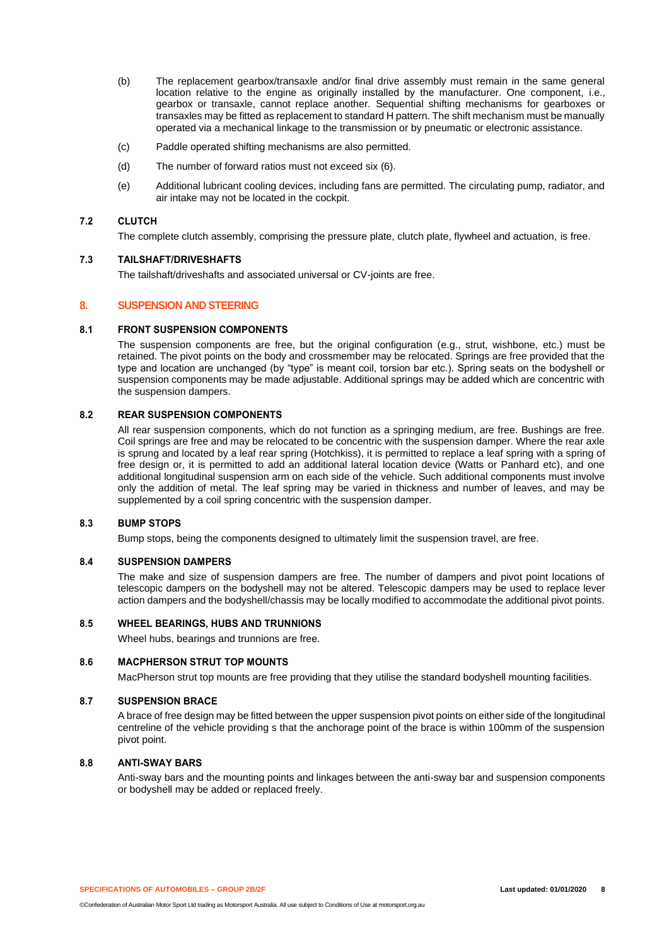- (b) The replacement gearbox/transaxle and/or final drive assembly must remain in the same general location relative to the engine as originally installed by the manufacturer. One component, i.e., gearbox or transaxle, cannot replace another. Sequential shifting mechanisms for gearboxes or transaxles may be fitted as replacement to standard H pattern. The shift mechanism must be manually operated via a mechanical linkage to the transmission or by pneumatic or electronic assistance.
- (c) Paddle operated shifting mechanisms are also permitted.
- (d) The number of forward ratios must not exceed six (6).
- (e) Additional lubricant cooling devices, including fans are permitted. The circulating pump, radiator, and air intake may not be located in the cockpit.

## **7.2 CLUTCH**

The complete clutch assembly, comprising the pressure plate, clutch plate, flywheel and actuation, is free.

## **7.3 TAILSHAFT/DRIVESHAFTS**

The tailshaft/driveshafts and associated universal or CV-joints are free.

## **8. SUSPENSION AND STEERING**

#### **8.1 FRONT SUSPENSION COMPONENTS**

The suspension components are free, but the original configuration (e.g., strut, wishbone, etc.) must be retained. The pivot points on the body and crossmember may be relocated. Springs are free provided that the type and location are unchanged (by "type" is meant coil, torsion bar etc.). Spring seats on the bodyshell or suspension components may be made adjustable. Additional springs may be added which are concentric with the suspension dampers.

## **8.2 REAR SUSPENSION COMPONENTS**

All rear suspension components, which do not function as a springing medium, are free. Bushings are free. Coil springs are free and may be relocated to be concentric with the suspension damper. Where the rear axle is sprung and located by a leaf rear spring (Hotchkiss), it is permitted to replace a leaf spring with a spring of free design or, it is permitted to add an additional lateral location device (Watts or Panhard etc), and one additional longitudinal suspension arm on each side of the vehicle. Such additional components must involve only the addition of metal. The leaf spring may be varied in thickness and number of leaves, and may be supplemented by a coil spring concentric with the suspension damper.

## **8.3 BUMP STOPS**

Bump stops, being the components designed to ultimately limit the suspension travel, are free.

## **8.4 SUSPENSION DAMPERS**

The make and size of suspension dampers are free. The number of dampers and pivot point locations of telescopic dampers on the bodyshell may not be altered. Telescopic dampers may be used to replace lever action dampers and the bodyshell/chassis may be locally modified to accommodate the additional pivot points.

#### **8.5 WHEEL BEARINGS, HUBS AND TRUNNIONS**

Wheel hubs, bearings and trunnions are free.

#### **8.6 MACPHERSON STRUT TOP MOUNTS**

MacPherson strut top mounts are free providing that they utilise the standard bodyshell mounting facilities.

#### **8.7 SUSPENSION BRACE**

A brace of free design may be fitted between the upper suspension pivot points on either side of the longitudinal centreline of the vehicle providing s that the anchorage point of the brace is within 100mm of the suspension pivot point.

#### **8.8 ANTI-SWAY BARS**

Anti-sway bars and the mounting points and linkages between the anti-sway bar and suspension components or bodyshell may be added or replaced freely.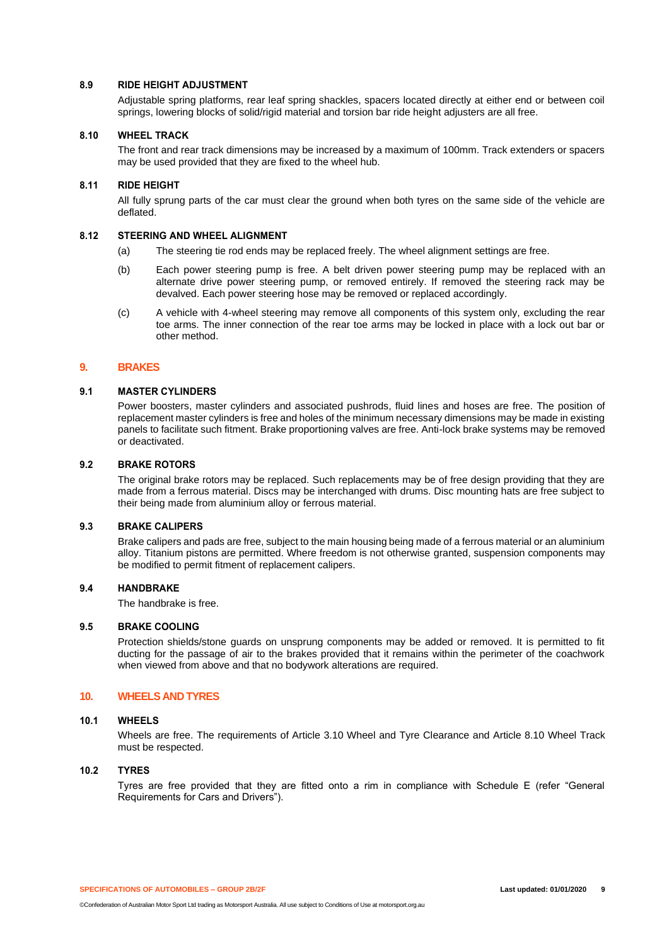## **8.9 RIDE HEIGHT ADJUSTMENT**

Adjustable spring platforms, rear leaf spring shackles, spacers located directly at either end or between coil springs, lowering blocks of solid/rigid material and torsion bar ride height adjusters are all free.

## **8.10 WHEEL TRACK**

The front and rear track dimensions may be increased by a maximum of 100mm. Track extenders or spacers may be used provided that they are fixed to the wheel hub.

## **8.11 RIDE HEIGHT**

All fully sprung parts of the car must clear the ground when both tyres on the same side of the vehicle are deflated.

## **8.12 STEERING AND WHEEL ALIGNMENT**

- (a) The steering tie rod ends may be replaced freely. The wheel alignment settings are free.
- (b) Each power steering pump is free. A belt driven power steering pump may be replaced with an alternate drive power steering pump, or removed entirely. If removed the steering rack may be devalved. Each power steering hose may be removed or replaced accordingly.
- (c) A vehicle with 4-wheel steering may remove all components of this system only, excluding the rear toe arms. The inner connection of the rear toe arms may be locked in place with a lock out bar or other method.

## **9. BRAKES**

## **9.1 MASTER CYLINDERS**

Power boosters, master cylinders and associated pushrods, fluid lines and hoses are free. The position of replacement master cylinders is free and holes of the minimum necessary dimensions may be made in existing panels to facilitate such fitment. Brake proportioning valves are free. Anti-lock brake systems may be removed or deactivated.

## **9.2 BRAKE ROTORS**

The original brake rotors may be replaced. Such replacements may be of free design providing that they are made from a ferrous material. Discs may be interchanged with drums. Disc mounting hats are free subject to their being made from aluminium alloy or ferrous material.

## **9.3 BRAKE CALIPERS**

Brake calipers and pads are free, subject to the main housing being made of a ferrous material or an aluminium alloy. Titanium pistons are permitted. Where freedom is not otherwise granted, suspension components may be modified to permit fitment of replacement calipers.

## **9.4 HANDBRAKE**

The handbrake is free.

## **9.5 BRAKE COOLING**

Protection shields/stone guards on unsprung components may be added or removed. It is permitted to fit ducting for the passage of air to the brakes provided that it remains within the perimeter of the coachwork when viewed from above and that no bodywork alterations are required.

## **10. WHEELS AND TYRES**

#### **10.1 WHEELS**

Wheels are free. The requirements of Article 3.10 Wheel and Tyre Clearance and Article 8.10 Wheel Track must be respected.

## **10.2 TYRES**

Tyres are free provided that they are fitted onto a rim in compliance with Schedule E (refer "General Requirements for Cars and Drivers").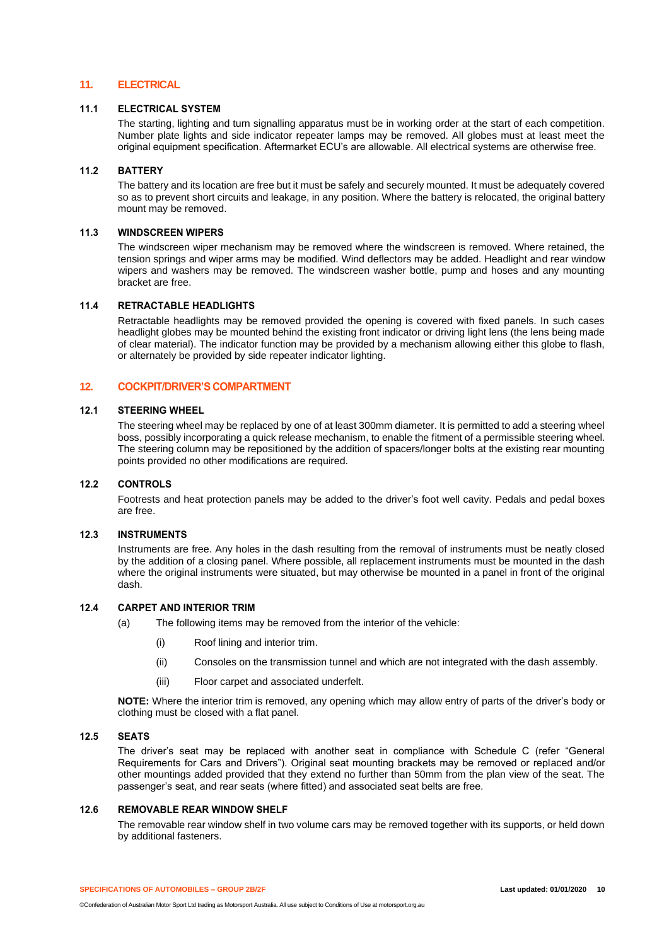## **11. ELECTRICAL**

## **11.1 ELECTRICAL SYSTEM**

The starting, lighting and turn signalling apparatus must be in working order at the start of each competition. Number plate lights and side indicator repeater lamps may be removed. All globes must at least meet the original equipment specification. Aftermarket ECU's are allowable. All electrical systems are otherwise free.

## **11.2 BATTERY**

The battery and its location are free but it must be safely and securely mounted. It must be adequately covered so as to prevent short circuits and leakage, in any position. Where the battery is relocated, the original battery mount may be removed.

## **11.3 WINDSCREEN WIPERS**

The windscreen wiper mechanism may be removed where the windscreen is removed. Where retained, the tension springs and wiper arms may be modified. Wind deflectors may be added. Headlight and rear window wipers and washers may be removed. The windscreen washer bottle, pump and hoses and any mounting bracket are free.

#### **11.4 RETRACTABLE HEADLIGHTS**

Retractable headlights may be removed provided the opening is covered with fixed panels. In such cases headlight globes may be mounted behind the existing front indicator or driving light lens (the lens being made of clear material). The indicator function may be provided by a mechanism allowing either this globe to flash, or alternately be provided by side repeater indicator lighting.

## **12. COCKPIT/DRIVER'S COMPARTMENT**

## **12.1 STEERING WHEEL**

The steering wheel may be replaced by one of at least 300mm diameter. It is permitted to add a steering wheel boss, possibly incorporating a quick release mechanism, to enable the fitment of a permissible steering wheel. The steering column may be repositioned by the addition of spacers/longer bolts at the existing rear mounting points provided no other modifications are required.

#### **12.2 CONTROLS**

Footrests and heat protection panels may be added to the driver's foot well cavity. Pedals and pedal boxes are free.

## **12.3 INSTRUMENTS**

Instruments are free. Any holes in the dash resulting from the removal of instruments must be neatly closed by the addition of a closing panel. Where possible, all replacement instruments must be mounted in the dash where the original instruments were situated, but may otherwise be mounted in a panel in front of the original dash.

## **12.4 CARPET AND INTERIOR TRIM**

- (a) The following items may be removed from the interior of the vehicle:
	- (i) Roof lining and interior trim.
	- (ii) Consoles on the transmission tunnel and which are not integrated with the dash assembly.
	- (iii) Floor carpet and associated underfelt.

**NOTE:** Where the interior trim is removed, any opening which may allow entry of parts of the driver's body or clothing must be closed with a flat panel.

## **12.5 SEATS**

The driver's seat may be replaced with another seat in compliance with Schedule C (refer "General Requirements for Cars and Drivers"). Original seat mounting brackets may be removed or replaced and/or other mountings added provided that they extend no further than 50mm from the plan view of the seat. The passenger's seat, and rear seats (where fitted) and associated seat belts are free.

## **12.6 REMOVABLE REAR WINDOW SHELF**

The removable rear window shelf in two volume cars may be removed together with its supports, or held down by additional fasteners.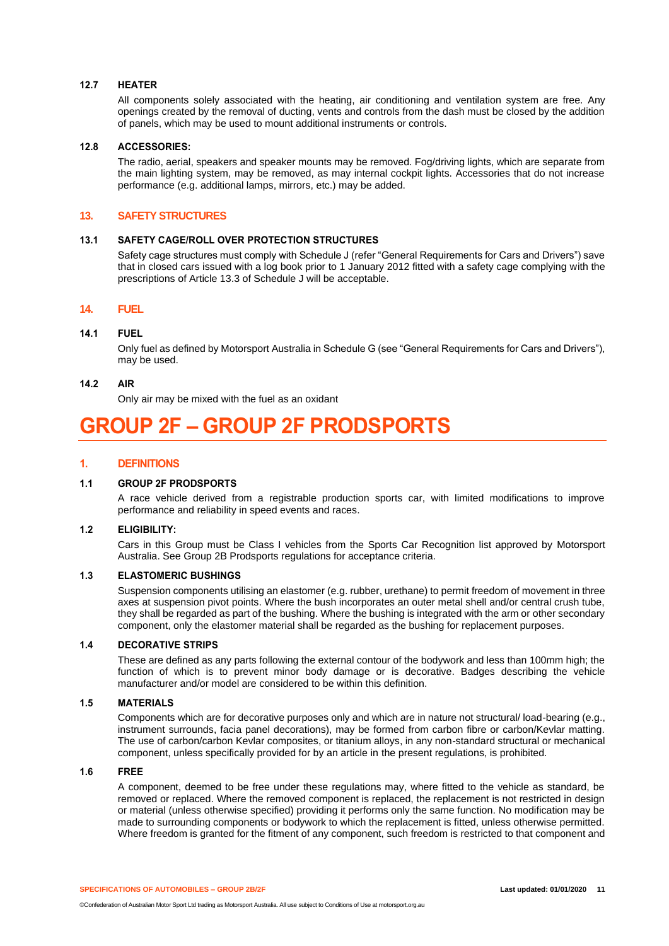#### **12.7 HEATER**

All components solely associated with the heating, air conditioning and ventilation system are free. Any openings created by the removal of ducting, vents and controls from the dash must be closed by the addition of panels, which may be used to mount additional instruments or controls.

#### **12.8 ACCESSORIES:**

The radio, aerial, speakers and speaker mounts may be removed. Fog/driving lights, which are separate from the main lighting system, may be removed, as may internal cockpit lights. Accessories that do not increase performance (e.g. additional lamps, mirrors, etc.) may be added.

## **13. SAFETY STRUCTURES**

## **13.1 SAFETY CAGE/ROLL OVER PROTECTION STRUCTURES**

Safety cage structures must comply with Schedule J (refer "General Requirements for Cars and Drivers") save that in closed cars issued with a log book prior to 1 January 2012 fitted with a safety cage complying with the prescriptions of Article 13.3 of Schedule J will be acceptable.

## **14. FUEL**

## **14.1 FUEL**

Only fuel as defined by Motorsport Australia in Schedule G (see "General Requirements for Cars and Drivers"), may be used.

#### **14.2 AIR**

Only air may be mixed with the fuel as an oxidant

# **GROUP 2F – GROUP 2F PRODSPORTS**

## **1. DEFINITIONS**

## **1.1 GROUP 2F PRODSPORTS**

A race vehicle derived from a registrable production sports car, with limited modifications to improve performance and reliability in speed events and races.

#### **1.2 ELIGIBILITY:**

Cars in this Group must be Class I vehicles from the Sports Car Recognition list approved by Motorsport Australia. See Group 2B Prodsports regulations for acceptance criteria.

#### **1.3 ELASTOMERIC BUSHINGS**

Suspension components utilising an elastomer (e.g. rubber, urethane) to permit freedom of movement in three axes at suspension pivot points. Where the bush incorporates an outer metal shell and/or central crush tube, they shall be regarded as part of the bushing. Where the bushing is integrated with the arm or other secondary component, only the elastomer material shall be regarded as the bushing for replacement purposes.

## **1.4 DECORATIVE STRIPS**

These are defined as any parts following the external contour of the bodywork and less than 100mm high; the function of which is to prevent minor body damage or is decorative. Badges describing the vehicle manufacturer and/or model are considered to be within this definition.

#### **1.5 MATERIALS**

Components which are for decorative purposes only and which are in nature not structural/ load-bearing (e.g., instrument surrounds, facia panel decorations), may be formed from carbon fibre or carbon/Kevlar matting. The use of carbon/carbon Kevlar composites, or titanium alloys, in any non-standard structural or mechanical component, unless specifically provided for by an article in the present regulations, is prohibited.

## **1.6 FREE**

A component, deemed to be free under these regulations may, where fitted to the vehicle as standard, be removed or replaced. Where the removed component is replaced, the replacement is not restricted in design or material (unless otherwise specified) providing it performs only the same function. No modification may be made to surrounding components or bodywork to which the replacement is fitted, unless otherwise permitted. Where freedom is granted for the fitment of any component, such freedom is restricted to that component and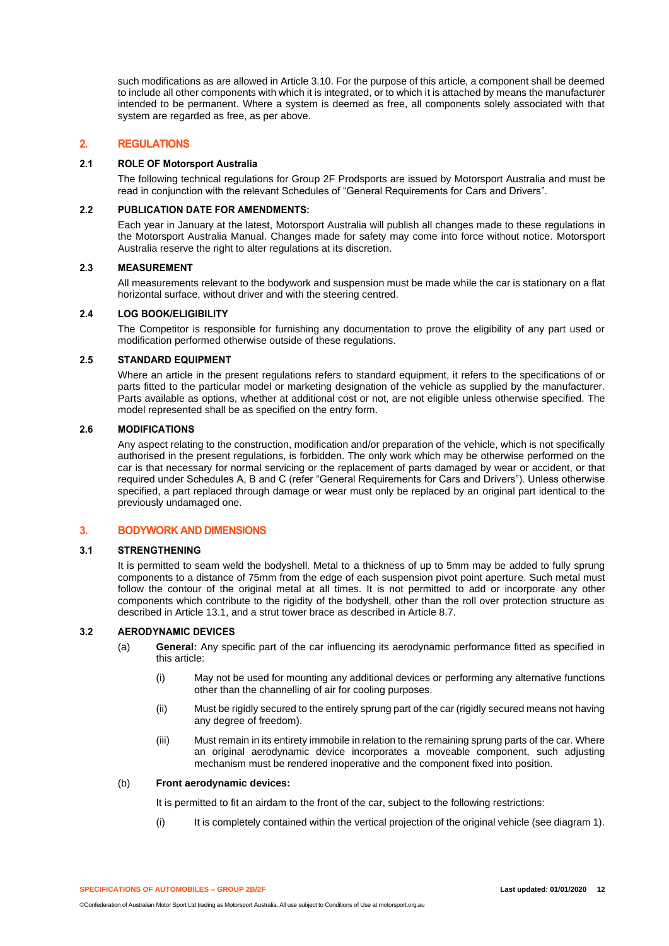such modifications as are allowed in Article 3.10. For the purpose of this article, a component shall be deemed to include all other components with which it is integrated, or to which it is attached by means the manufacturer intended to be permanent. Where a system is deemed as free, all components solely associated with that system are regarded as free, as per above.

## **2. REGULATIONS**

## **2.1 ROLE OF Motorsport Australia**

The following technical regulations for Group 2F Prodsports are issued by Motorsport Australia and must be read in conjunction with the relevant Schedules of "General Requirements for Cars and Drivers".

## **2.2 PUBLICATION DATE FOR AMENDMENTS:**

Each year in January at the latest, Motorsport Australia will publish all changes made to these regulations in the Motorsport Australia Manual. Changes made for safety may come into force without notice. Motorsport Australia reserve the right to alter regulations at its discretion.

## **2.3 MEASUREMENT**

All measurements relevant to the bodywork and suspension must be made while the car is stationary on a flat horizontal surface, without driver and with the steering centred.

## **2.4 LOG BOOK/ELIGIBILITY**

The Competitor is responsible for furnishing any documentation to prove the eligibility of any part used or modification performed otherwise outside of these regulations.

## **2.5 STANDARD EQUIPMENT**

Where an article in the present regulations refers to standard equipment, it refers to the specifications of or parts fitted to the particular model or marketing designation of the vehicle as supplied by the manufacturer. Parts available as options, whether at additional cost or not, are not eligible unless otherwise specified. The model represented shall be as specified on the entry form.

## **2.6 MODIFICATIONS**

Any aspect relating to the construction, modification and/or preparation of the vehicle, which is not specifically authorised in the present regulations, is forbidden. The only work which may be otherwise performed on the car is that necessary for normal servicing or the replacement of parts damaged by wear or accident, or that required under Schedules A, B and C (refer "General Requirements for Cars and Drivers"). Unless otherwise specified, a part replaced through damage or wear must only be replaced by an original part identical to the previously undamaged one.

## **3. BODYWORK AND DIMENSIONS**

## **3.1 STRENGTHENING**

It is permitted to seam weld the bodyshell. Metal to a thickness of up to 5mm may be added to fully sprung components to a distance of 75mm from the edge of each suspension pivot point aperture. Such metal must follow the contour of the original metal at all times. It is not permitted to add or incorporate any other components which contribute to the rigidity of the bodyshell, other than the roll over protection structure as described in Article 13.1, and a strut tower brace as described in Article 8.7.

## **3.2 AERODYNAMIC DEVICES**

- (a) **General:** Any specific part of the car influencing its aerodynamic performance fitted as specified in this article:
	- (i) May not be used for mounting any additional devices or performing any alternative functions other than the channelling of air for cooling purposes.
	- (ii) Must be rigidly secured to the entirely sprung part of the car (rigidly secured means not having any degree of freedom).
	- (iii) Must remain in its entirety immobile in relation to the remaining sprung parts of the car. Where an original aerodynamic device incorporates a moveable component, such adjusting mechanism must be rendered inoperative and the component fixed into position.

## (b) **Front aerodynamic devices:**

It is permitted to fit an airdam to the front of the car, subject to the following restrictions:

(i) It is completely contained within the vertical projection of the original vehicle (see diagram 1).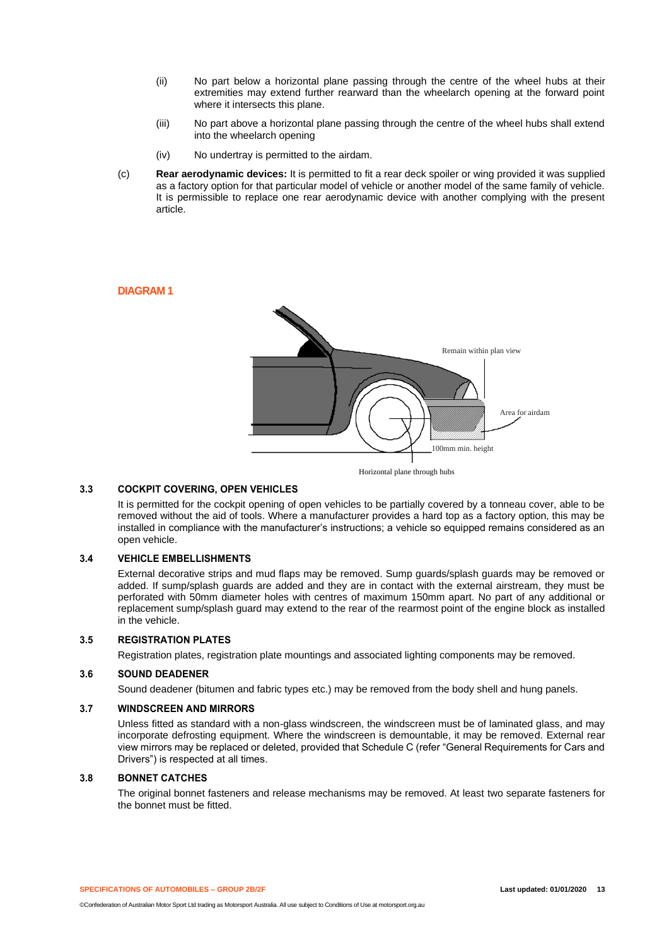- (ii) No part below a horizontal plane passing through the centre of the wheel hubs at their extremities may extend further rearward than the wheelarch opening at the forward point where it intersects this plane.
- (iii) No part above a horizontal plane passing through the centre of the wheel hubs shall extend into the wheelarch opening
- (iv) No undertray is permitted to the airdam.
- (c) **Rear aerodynamic devices:** It is permitted to fit a rear deck spoiler or wing provided it was supplied as a factory option for that particular model of vehicle or another model of the same family of vehicle. It is permissible to replace one rear aerodynamic device with another complying with the present article.

## **DIAGRAM 1**



## **3.3 COCKPIT COVERING, OPEN VEHICLES**

It is permitted for the cockpit opening of open vehicles to be partially covered by a tonneau cover, able to be removed without the aid of tools. Where a manufacturer provides a hard top as a factory option, this may be installed in compliance with the manufacturer's instructions; a vehicle so equipped remains considered as an open vehicle.

## **3.4 VEHICLE EMBELLISHMENTS**

External decorative strips and mud flaps may be removed. Sump guards/splash guards may be removed or added. If sump/splash guards are added and they are in contact with the external airstream, they must be perforated with 50mm diameter holes with centres of maximum 150mm apart. No part of any additional or replacement sump/splash guard may extend to the rear of the rearmost point of the engine block as installed in the vehicle.

#### **3.5 REGISTRATION PLATES**

Registration plates, registration plate mountings and associated lighting components may be removed.

#### **3.6 SOUND DEADENER**

Sound deadener (bitumen and fabric types etc.) may be removed from the body shell and hung panels.

#### **3.7 WINDSCREEN AND MIRRORS**

Unless fitted as standard with a non-glass windscreen, the windscreen must be of laminated glass, and may incorporate defrosting equipment. Where the windscreen is demountable, it may be removed. External rear view mirrors may be replaced or deleted, provided that Schedule C (refer "General Requirements for Cars and Drivers") is respected at all times.

#### **3.8 BONNET CATCHES**

The original bonnet fasteners and release mechanisms may be removed. At least two separate fasteners for the bonnet must be fitted.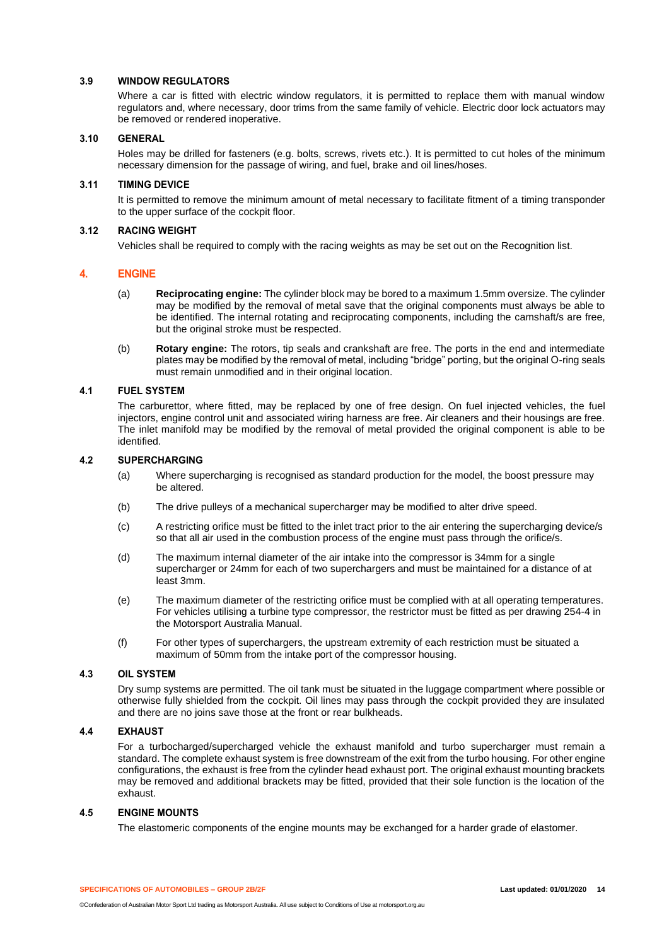## **3.9 WINDOW REGULATORS**

Where a car is fitted with electric window regulators, it is permitted to replace them with manual window regulators and, where necessary, door trims from the same family of vehicle. Electric door lock actuators may be removed or rendered inoperative.

## **3.10 GENERAL**

Holes may be drilled for fasteners (e.g. bolts, screws, rivets etc.). It is permitted to cut holes of the minimum necessary dimension for the passage of wiring, and fuel, brake and oil lines/hoses.

#### **3.11 TIMING DEVICE**

It is permitted to remove the minimum amount of metal necessary to facilitate fitment of a timing transponder to the upper surface of the cockpit floor.

## **3.12 RACING WEIGHT**

Vehicles shall be required to comply with the racing weights as may be set out on the Recognition list.

## **4. ENGINE**

- (a) **Reciprocating engine:** The cylinder block may be bored to a maximum 1.5mm oversize. The cylinder may be modified by the removal of metal save that the original components must always be able to be identified. The internal rotating and reciprocating components, including the camshaft/s are free, but the original stroke must be respected.
- (b) **Rotary engine:** The rotors, tip seals and crankshaft are free. The ports in the end and intermediate plates may be modified by the removal of metal, including "bridge" porting, but the original O-ring seals must remain unmodified and in their original location.

## **4.1 FUEL SYSTEM**

The carburettor, where fitted, may be replaced by one of free design. On fuel injected vehicles, the fuel injectors, engine control unit and associated wiring harness are free. Air cleaners and their housings are free. The inlet manifold may be modified by the removal of metal provided the original component is able to be identified.

## **4.2 SUPERCHARGING**

- (a) Where supercharging is recognised as standard production for the model, the boost pressure may be altered.
- (b) The drive pulleys of a mechanical supercharger may be modified to alter drive speed.
- (c) A restricting orifice must be fitted to the inlet tract prior to the air entering the supercharging device/s so that all air used in the combustion process of the engine must pass through the orifice/s.
- (d) The maximum internal diameter of the air intake into the compressor is 34mm for a single supercharger or 24mm for each of two superchargers and must be maintained for a distance of at least 3mm.
- (e) The maximum diameter of the restricting orifice must be complied with at all operating temperatures. For vehicles utilising a turbine type compressor, the restrictor must be fitted as per drawing 254-4 in the Motorsport Australia Manual.
- (f) For other types of superchargers, the upstream extremity of each restriction must be situated a maximum of 50mm from the intake port of the compressor housing.

## **4.3 OIL SYSTEM**

Dry sump systems are permitted. The oil tank must be situated in the luggage compartment where possible or otherwise fully shielded from the cockpit. Oil lines may pass through the cockpit provided they are insulated and there are no joins save those at the front or rear bulkheads.

## **4.4 EXHAUST**

For a turbocharged/supercharged vehicle the exhaust manifold and turbo supercharger must remain a standard. The complete exhaust system is free downstream of the exit from the turbo housing. For other engine configurations, the exhaust is free from the cylinder head exhaust port. The original exhaust mounting brackets may be removed and additional brackets may be fitted, provided that their sole function is the location of the exhaust.

## **4.5 ENGINE MOUNTS**

The elastomeric components of the engine mounts may be exchanged for a harder grade of elastomer.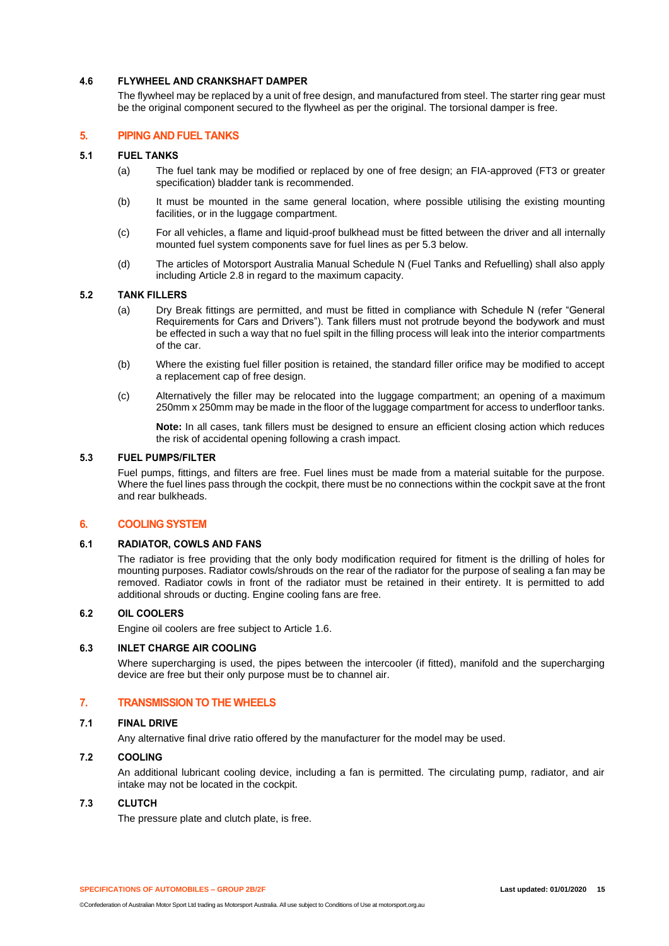## **4.6 FLYWHEEL AND CRANKSHAFT DAMPER**

The flywheel may be replaced by a unit of free design, and manufactured from steel. The starter ring gear must be the original component secured to the flywheel as per the original. The torsional damper is free.

## **5. PIPING AND FUEL TANKS**

## **5.1 FUEL TANKS**

- (a) The fuel tank may be modified or replaced by one of free design; an FIA-approved (FT3 or greater specification) bladder tank is recommended.
- (b) It must be mounted in the same general location, where possible utilising the existing mounting facilities, or in the luggage compartment.
- (c) For all vehicles, a flame and liquid-proof bulkhead must be fitted between the driver and all internally mounted fuel system components save for fuel lines as per 5.3 below.
- (d) The articles of Motorsport Australia Manual Schedule N (Fuel Tanks and Refuelling) shall also apply including Article 2.8 in regard to the maximum capacity.

## **5.2 TANK FILLERS**

- (a) Dry Break fittings are permitted, and must be fitted in compliance with Schedule N (refer "General Requirements for Cars and Drivers"). Tank fillers must not protrude beyond the bodywork and must be effected in such a way that no fuel spilt in the filling process will leak into the interior compartments of the car.
- (b) Where the existing fuel filler position is retained, the standard filler orifice may be modified to accept a replacement cap of free design.
- (c) Alternatively the filler may be relocated into the luggage compartment; an opening of a maximum 250mm x 250mm may be made in the floor of the luggage compartment for access to underfloor tanks.

**Note:** In all cases, tank fillers must be designed to ensure an efficient closing action which reduces the risk of accidental opening following a crash impact.

#### **5.3 FUEL PUMPS/FILTER**

Fuel pumps, fittings, and filters are free. Fuel lines must be made from a material suitable for the purpose. Where the fuel lines pass through the cockpit, there must be no connections within the cockpit save at the front and rear bulkheads.

## **6. COOLING SYSTEM**

#### **6.1 RADIATOR, COWLS AND FANS**

The radiator is free providing that the only body modification required for fitment is the drilling of holes for mounting purposes. Radiator cowls/shrouds on the rear of the radiator for the purpose of sealing a fan may be removed. Radiator cowls in front of the radiator must be retained in their entirety. It is permitted to add additional shrouds or ducting. Engine cooling fans are free.

## **6.2 OIL COOLERS**

Engine oil coolers are free subject to Article 1.6.

## **6.3 INLET CHARGE AIR COOLING**

Where supercharging is used, the pipes between the intercooler (if fitted), manifold and the supercharging device are free but their only purpose must be to channel air.

## **7. TRANSMISSION TO THE WHEELS**

#### **7.1 FINAL DRIVE**

Any alternative final drive ratio offered by the manufacturer for the model may be used.

## **7.2 COOLING**

An additional lubricant cooling device, including a fan is permitted. The circulating pump, radiator, and air intake may not be located in the cockpit.

#### **7.3 CLUTCH**

The pressure plate and clutch plate, is free.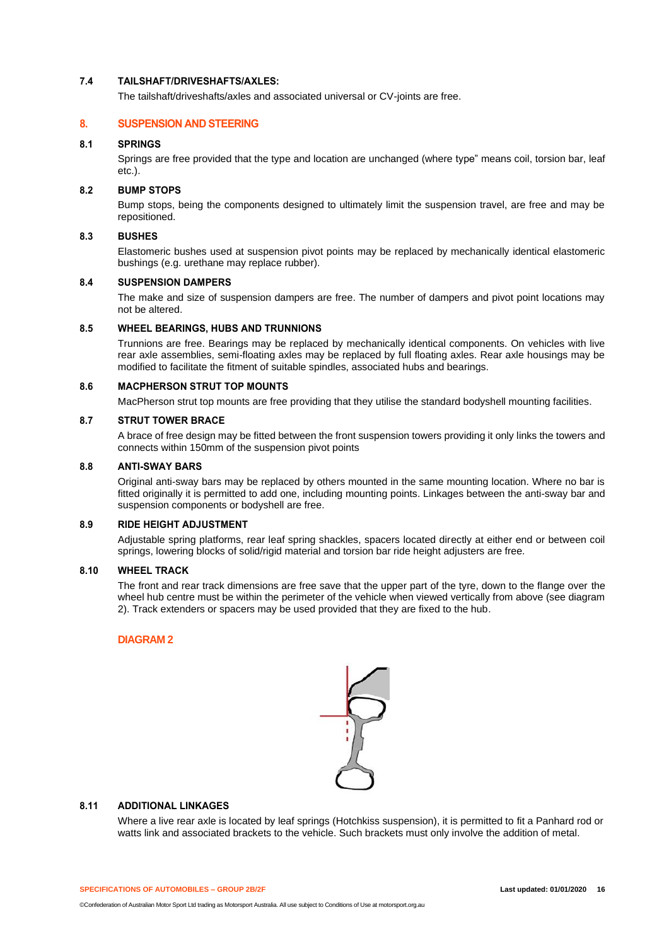## **7.4 TAILSHAFT/DRIVESHAFTS/AXLES:**

The tailshaft/driveshafts/axles and associated universal or CV-joints are free.

## **8. SUSPENSION AND STEERING**

## **8.1 SPRINGS**

Springs are free provided that the type and location are unchanged (where type" means coil, torsion bar, leaf etc.).

## **8.2 BUMP STOPS**

Bump stops, being the components designed to ultimately limit the suspension travel, are free and may be repositioned.

## **8.3 BUSHES**

Elastomeric bushes used at suspension pivot points may be replaced by mechanically identical elastomeric bushings (e.g. urethane may replace rubber).

## **8.4 SUSPENSION DAMPERS**

The make and size of suspension dampers are free. The number of dampers and pivot point locations may not be altered.

## **8.5 WHEEL BEARINGS, HUBS AND TRUNNIONS**

Trunnions are free. Bearings may be replaced by mechanically identical components. On vehicles with live rear axle assemblies, semi-floating axles may be replaced by full floating axles. Rear axle housings may be modified to facilitate the fitment of suitable spindles, associated hubs and bearings.

## **8.6 MACPHERSON STRUT TOP MOUNTS**

MacPherson strut top mounts are free providing that they utilise the standard bodyshell mounting facilities.

## **8.7 STRUT TOWER BRACE**

A brace of free design may be fitted between the front suspension towers providing it only links the towers and connects within 150mm of the suspension pivot points

#### **8.8 ANTI-SWAY BARS**

Original anti-sway bars may be replaced by others mounted in the same mounting location. Where no bar is fitted originally it is permitted to add one, including mounting points. Linkages between the anti-sway bar and suspension components or bodyshell are free.

## **8.9 RIDE HEIGHT ADJUSTMENT**

Adjustable spring platforms, rear leaf spring shackles, spacers located directly at either end or between coil springs, lowering blocks of solid/rigid material and torsion bar ride height adjusters are free.

## **8.10 WHEEL TRACK**

The front and rear track dimensions are free save that the upper part of the tyre, down to the flange over the wheel hub centre must be within the perimeter of the vehicle when viewed vertically from above (see diagram 2). Track extenders or spacers may be used provided that they are fixed to the hub.

## **DIAGRAM 2**



## **8.11 ADDITIONAL LINKAGES**

Where a live rear axle is located by leaf springs (Hotchkiss suspension), it is permitted to fit a Panhard rod or watts link and associated brackets to the vehicle. Such brackets must only involve the addition of metal.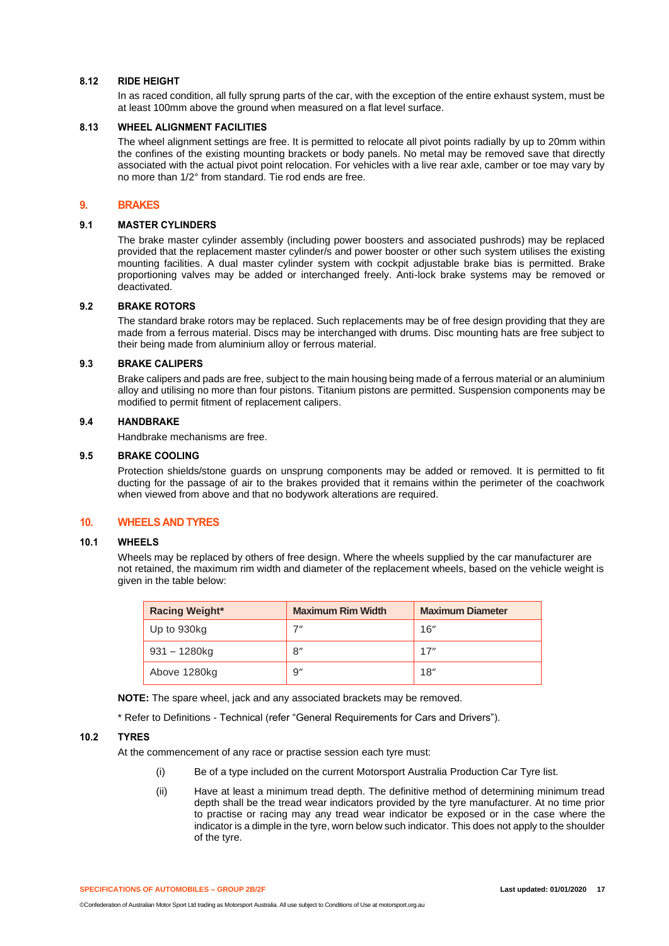## **8.12 RIDE HEIGHT**

In as raced condition, all fully sprung parts of the car, with the exception of the entire exhaust system, must be at least 100mm above the ground when measured on a flat level surface.

#### **8.13 WHEEL ALIGNMENT FACILITIES**

The wheel alignment settings are free. It is permitted to relocate all pivot points radially by up to 20mm within the confines of the existing mounting brackets or body panels. No metal may be removed save that directly associated with the actual pivot point relocation. For vehicles with a live rear axle, camber or toe may vary by no more than 1/2° from standard. Tie rod ends are free.

#### **9. BRAKES**

#### **9.1 MASTER CYLINDERS**

The brake master cylinder assembly (including power boosters and associated pushrods) may be replaced provided that the replacement master cylinder/s and power booster or other such system utilises the existing mounting facilities. A dual master cylinder system with cockpit adjustable brake bias is permitted. Brake proportioning valves may be added or interchanged freely. Anti-lock brake systems may be removed or deactivated.

## **9.2 BRAKE ROTORS**

The standard brake rotors may be replaced. Such replacements may be of free design providing that they are made from a ferrous material. Discs may be interchanged with drums. Disc mounting hats are free subject to their being made from aluminium alloy or ferrous material.

## **9.3 BRAKE CALIPERS**

Brake calipers and pads are free, subject to the main housing being made of a ferrous material or an aluminium alloy and utilising no more than four pistons. Titanium pistons are permitted. Suspension components may be modified to permit fitment of replacement calipers.

#### **9.4 HANDBRAKE**

Handbrake mechanisms are free.

#### **9.5 BRAKE COOLING**

Protection shields/stone guards on unsprung components may be added or removed. It is permitted to fit ducting for the passage of air to the brakes provided that it remains within the perimeter of the coachwork when viewed from above and that no bodywork alterations are required.

## **10. WHEELS AND TYRES**

#### **10.1 WHEELS**

Wheels may be replaced by others of free design. Where the wheels supplied by the car manufacturer are not retained, the maximum rim width and diameter of the replacement wheels, based on the vehicle weight is given in the table below:

| <b>Racing Weight*</b> | <b>Maximum Rim Width</b> | <b>Maximum Diameter</b> |
|-----------------------|--------------------------|-------------------------|
| Up to 930kg           | フ〃                       | 16"                     |
| 931 – 1280kg          | 8"                       | 17"                     |
| Above 1280kg          | 9''                      | 18"                     |

**NOTE:** The spare wheel, jack and any associated brackets may be removed.

\* Refer to Definitions - Technical (refer "General Requirements for Cars and Drivers").

#### **10.2 TYRES**

At the commencement of any race or practise session each tyre must:

- (i) Be of a type included on the current Motorsport Australia Production Car Tyre list.
- (ii) Have at least a minimum tread depth. The definitive method of determining minimum tread depth shall be the tread wear indicators provided by the tyre manufacturer. At no time prior to practise or racing may any tread wear indicator be exposed or in the case where the indicator is a dimple in the tyre, worn below such indicator. This does not apply to the shoulder of the tyre.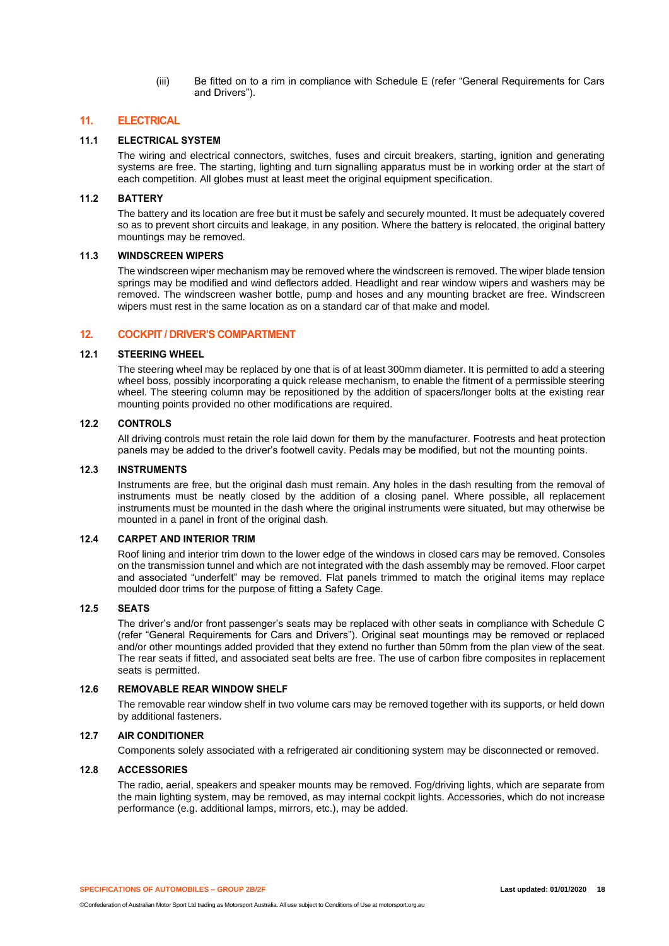(iii) Be fitted on to a rim in compliance with Schedule E (refer "General Requirements for Cars and Drivers").

## **11. ELECTRICAL**

## **11.1 ELECTRICAL SYSTEM**

The wiring and electrical connectors, switches, fuses and circuit breakers, starting, ignition and generating systems are free. The starting, lighting and turn signalling apparatus must be in working order at the start of each competition. All globes must at least meet the original equipment specification.

#### **11.2 BATTERY**

The battery and its location are free but it must be safely and securely mounted. It must be adequately covered so as to prevent short circuits and leakage, in any position. Where the battery is relocated, the original battery mountings may be removed.

## **11.3 WINDSCREEN WIPERS**

The windscreen wiper mechanism may be removed where the windscreen is removed. The wiper blade tension springs may be modified and wind deflectors added. Headlight and rear window wipers and washers may be removed. The windscreen washer bottle, pump and hoses and any mounting bracket are free. Windscreen wipers must rest in the same location as on a standard car of that make and model.

#### **12. COCKPIT / DRIVER'S COMPARTMENT**

## **12.1 STEERING WHEEL**

The steering wheel may be replaced by one that is of at least 300mm diameter. It is permitted to add a steering wheel boss, possibly incorporating a quick release mechanism, to enable the fitment of a permissible steering wheel. The steering column may be repositioned by the addition of spacers/longer bolts at the existing rear mounting points provided no other modifications are required.

## **12.2 CONTROLS**

All driving controls must retain the role laid down for them by the manufacturer. Footrests and heat protection panels may be added to the driver's footwell cavity. Pedals may be modified, but not the mounting points.

#### **12.3 INSTRUMENTS**

Instruments are free, but the original dash must remain. Any holes in the dash resulting from the removal of instruments must be neatly closed by the addition of a closing panel. Where possible, all replacement instruments must be mounted in the dash where the original instruments were situated, but may otherwise be mounted in a panel in front of the original dash.

#### **12.4 CARPET AND INTERIOR TRIM**

Roof lining and interior trim down to the lower edge of the windows in closed cars may be removed. Consoles on the transmission tunnel and which are not integrated with the dash assembly may be removed. Floor carpet and associated "underfelt" may be removed. Flat panels trimmed to match the original items may replace moulded door trims for the purpose of fitting a Safety Cage.

## **12.5 SEATS**

The driver's and/or front passenger's seats may be replaced with other seats in compliance with Schedule C (refer "General Requirements for Cars and Drivers"). Original seat mountings may be removed or replaced and/or other mountings added provided that they extend no further than 50mm from the plan view of the seat. The rear seats if fitted, and associated seat belts are free. The use of carbon fibre composites in replacement seats is permitted.

#### **12.6 REMOVABLE REAR WINDOW SHELF**

The removable rear window shelf in two volume cars may be removed together with its supports, or held down by additional fasteners.

## **12.7 AIR CONDITIONER**

Components solely associated with a refrigerated air conditioning system may be disconnected or removed.

## **12.8 ACCESSORIES**

The radio, aerial, speakers and speaker mounts may be removed. Fog/driving lights, which are separate from the main lighting system, may be removed, as may internal cockpit lights. Accessories, which do not increase performance (e.g. additional lamps, mirrors, etc.), may be added.